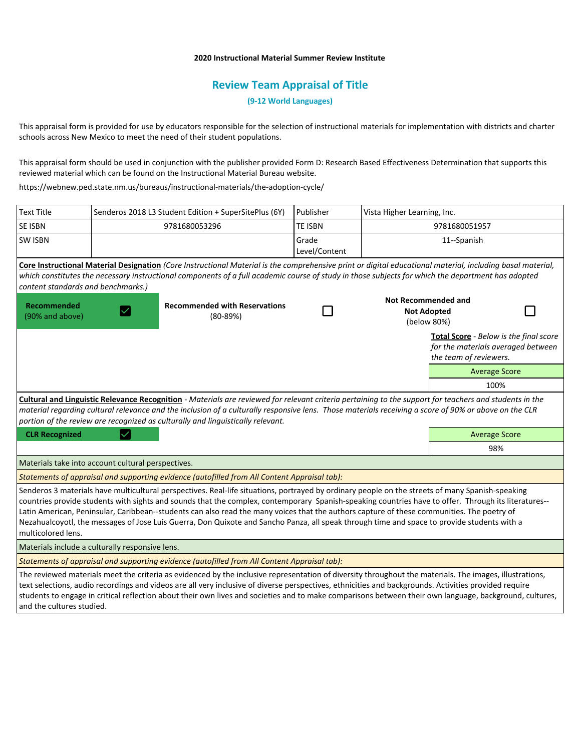## **2020 Instructional Material Summer Review Institute**

# **Review Team Appraisal of Title**

**(9-12 World Languages)**

This appraisal form is provided for use by educators responsible for the selection of instructional materials for implementation with districts and charter schools across New Mexico to meet the need of their student populations.

This appraisal form should be used in conjunction with the publisher provided Form D: Research Based Effectiveness Determination that supports this reviewed material which can be found on the Instructional Material Bureau website.

<https://webnew.ped.state.nm.us/bureaus/instructional-materials/the-adoption-cycle/>

| <b>Text Title</b>                                                                                                                                                                                                                                                                                                                                                                                                                                                                                                                                                                                                           |  | Senderos 2018 L3 Student Edition + SuperSitePlus (6Y) | Publisher              | Vista Higher Learning, Inc.                                     |                                                                                                        |
|-----------------------------------------------------------------------------------------------------------------------------------------------------------------------------------------------------------------------------------------------------------------------------------------------------------------------------------------------------------------------------------------------------------------------------------------------------------------------------------------------------------------------------------------------------------------------------------------------------------------------------|--|-------------------------------------------------------|------------------------|-----------------------------------------------------------------|--------------------------------------------------------------------------------------------------------|
| SE ISBN                                                                                                                                                                                                                                                                                                                                                                                                                                                                                                                                                                                                                     |  | <b>TE ISBN</b><br>9781680053296                       |                        | 9781680051957                                                   |                                                                                                        |
| <b>SW ISBN</b>                                                                                                                                                                                                                                                                                                                                                                                                                                                                                                                                                                                                              |  |                                                       | Grade<br>Level/Content | 11--Spanish                                                     |                                                                                                        |
| Core Instructional Material Designation (Core Instructional Material is the comprehensive print or digital educational material, including basal material,<br>which constitutes the necessary instructional components of a full academic course of study in those subjects for which the department has adopted<br>content standards and benchmarks.)                                                                                                                                                                                                                                                                      |  |                                                       |                        |                                                                 |                                                                                                        |
| Recommended<br>(90% and above)                                                                                                                                                                                                                                                                                                                                                                                                                                                                                                                                                                                              |  | <b>Recommended with Reservations</b><br>$(80-89%)$    |                        | <b>Not Recommended and</b><br><b>Not Adopted</b><br>(below 80%) |                                                                                                        |
|                                                                                                                                                                                                                                                                                                                                                                                                                                                                                                                                                                                                                             |  |                                                       |                        |                                                                 | Total Score - Below is the final score<br>for the materials averaged between<br>the team of reviewers. |
|                                                                                                                                                                                                                                                                                                                                                                                                                                                                                                                                                                                                                             |  |                                                       |                        |                                                                 | <b>Average Score</b>                                                                                   |
|                                                                                                                                                                                                                                                                                                                                                                                                                                                                                                                                                                                                                             |  |                                                       |                        |                                                                 | 100%                                                                                                   |
| Cultural and Linguistic Relevance Recognition - Materials are reviewed for relevant criteria pertaining to the support for teachers and students in the<br>material regarding cultural relevance and the inclusion of a culturally responsive lens. Those materials receiving a score of 90% or above on the CLR<br>portion of the review are recognized as culturally and linguistically relevant.                                                                                                                                                                                                                         |  |                                                       |                        |                                                                 |                                                                                                        |
| <b>CLR Recognized</b>                                                                                                                                                                                                                                                                                                                                                                                                                                                                                                                                                                                                       |  |                                                       |                        |                                                                 | <b>Average Score</b>                                                                                   |
|                                                                                                                                                                                                                                                                                                                                                                                                                                                                                                                                                                                                                             |  |                                                       |                        |                                                                 | 98%                                                                                                    |
| Materials take into account cultural perspectives.                                                                                                                                                                                                                                                                                                                                                                                                                                                                                                                                                                          |  |                                                       |                        |                                                                 |                                                                                                        |
| Statements of appraisal and supporting evidence (autofilled from All Content Appraisal tab):                                                                                                                                                                                                                                                                                                                                                                                                                                                                                                                                |  |                                                       |                        |                                                                 |                                                                                                        |
| Senderos 3 materials have multicultural perspectives. Real-life situations, portrayed by ordinary people on the streets of many Spanish-speaking<br>countries provide students with sights and sounds that the complex, contemporary Spanish-speaking countries have to offer. Through its literatures--<br>Latin American, Peninsular, Caribbean--students can also read the many voices that the authors capture of these communities. The poetry of<br>Nezahualcoyotl, the messages of Jose Luis Guerra, Don Quixote and Sancho Panza, all speak through time and space to provide students with a<br>multicolored lens. |  |                                                       |                        |                                                                 |                                                                                                        |
| Materials include a culturally responsive lens.                                                                                                                                                                                                                                                                                                                                                                                                                                                                                                                                                                             |  |                                                       |                        |                                                                 |                                                                                                        |
| Statements of appraisal and supporting evidence (autofilled from All Content Appraisal tab):                                                                                                                                                                                                                                                                                                                                                                                                                                                                                                                                |  |                                                       |                        |                                                                 |                                                                                                        |
| The reviewed materials meet the criteria as evidenced by the inclusive representation of diversity throughout the materials. The images, illustrations,<br>text selections, audio recordings and videos are all very inclusive of diverse perspectives, ethnicities and backgrounds. Activities provided require<br>students to engage in critical reflection about their own lives and societies and to make comparisons between their own language, background, cultures,                                                                                                                                                 |  |                                                       |                        |                                                                 |                                                                                                        |

and the cultures studied.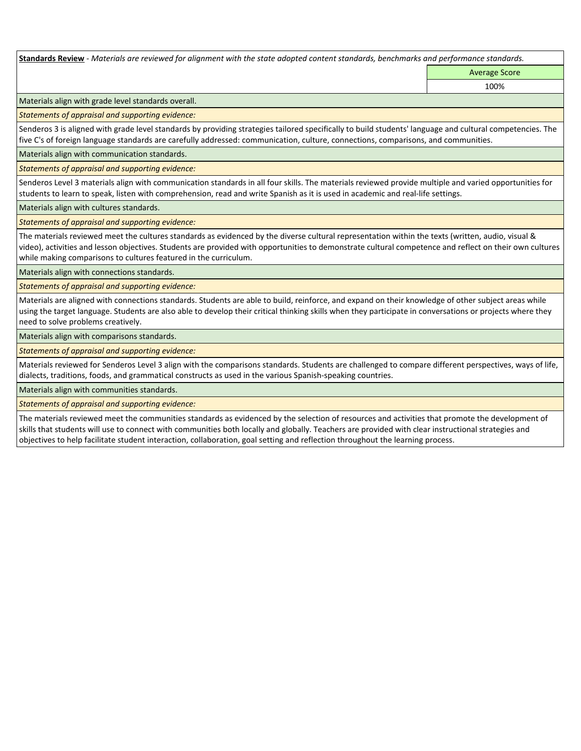**Standards Review** *- Materials are reviewed for alignment with the state adopted content standards, benchmarks and performance standards.*

Average Score 100%

Materials align with grade level standards overall.

*Statements of appraisal and supporting evidence:* 

Senderos 3 is aligned with grade level standards by providing strategies tailored specifically to build students' language and cultural competencies. The five C's of foreign language standards are carefully addressed: communication, culture, connections, comparisons, and communities.

Materials align with communication standards.

*Statements of appraisal and supporting evidence:* 

Senderos Level 3 materials align with communication standards in all four skills. The materials reviewed provide multiple and varied opportunities for students to learn to speak, listen with comprehension, read and write Spanish as it is used in academic and real-life settings.

Materials align with cultures standards.

*Statements of appraisal and supporting evidence:* 

The materials reviewed meet the cultures standards as evidenced by the diverse cultural representation within the texts (written, audio, visual & video), activities and lesson objectives. Students are provided with opportunities to demonstrate cultural competence and reflect on their own cultures while making comparisons to cultures featured in the curriculum.

Materials align with connections standards.

*Statements of appraisal and supporting evidence:* 

Materials are aligned with connections standards. Students are able to build, reinforce, and expand on their knowledge of other subject areas while using the target language. Students are also able to develop their critical thinking skills when they participate in conversations or projects where they need to solve problems creatively.

Materials align with comparisons standards.

*Statements of appraisal and supporting evidence:* 

Materials reviewed for Senderos Level 3 align with the comparisons standards. Students are challenged to compare different perspectives, ways of life, dialects, traditions, foods, and grammatical constructs as used in the various Spanish-speaking countries.

Materials align with communities standards.

*Statements of appraisal and supporting evidence:* 

The materials reviewed meet the communities standards as evidenced by the selection of resources and activities that promote the development of skills that students will use to connect with communities both locally and globally. Teachers are provided with clear instructional strategies and objectives to help facilitate student interaction, collaboration, goal setting and reflection throughout the learning process.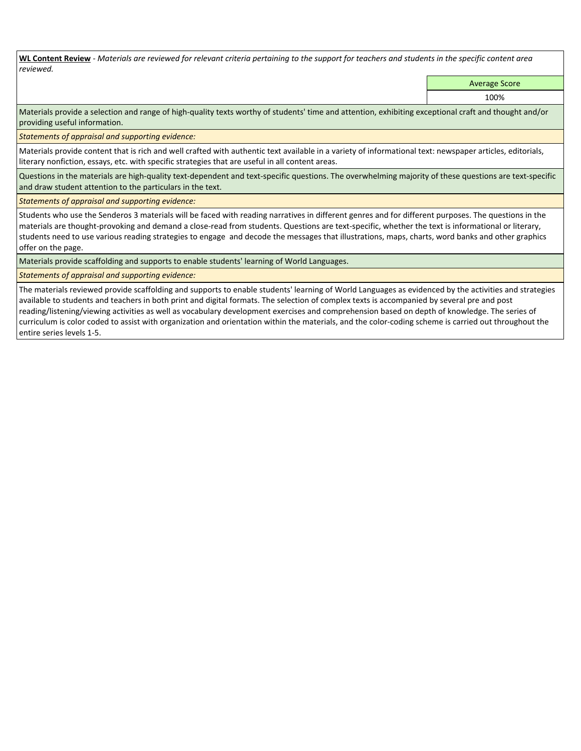**WL Content Review** *- Materials are reviewed for relevant criteria pertaining to the support for teachers and students in the specific content area reviewed.*

Average Score

100%

Materials provide a selection and range of high-quality texts worthy of students' time and attention, exhibiting exceptional craft and thought and/or providing useful information.

*Statements of appraisal and supporting evidence:* 

Materials provide content that is rich and well crafted with authentic text available in a variety of informational text: newspaper articles, editorials, literary nonfiction, essays, etc. with specific strategies that are useful in all content areas.

Questions in the materials are high-quality text-dependent and text-specific questions. The overwhelming majority of these questions are text-specific and draw student attention to the particulars in the text.

*Statements of appraisal and supporting evidence:* 

Students who use the Senderos 3 materials will be faced with reading narratives in different genres and for different purposes. The questions in the materials are thought-provoking and demand a close-read from students. Questions are text-specific, whether the text is informational or literary, students need to use various reading strategies to engage and decode the messages that illustrations, maps, charts, word banks and other graphics offer on the page.

Materials provide scaffolding and supports to enable students' learning of World Languages.

*Statements of appraisal and supporting evidence:* 

The materials reviewed provide scaffolding and supports to enable students' learning of World Languages as evidenced by the activities and strategies available to students and teachers in both print and digital formats. The selection of complex texts is accompanied by several pre and post reading/listening/viewing activities as well as vocabulary development exercises and comprehension based on depth of knowledge. The series of curriculum is color coded to assist with organization and orientation within the materials, and the color-coding scheme is carried out throughout the entire series levels 1-5.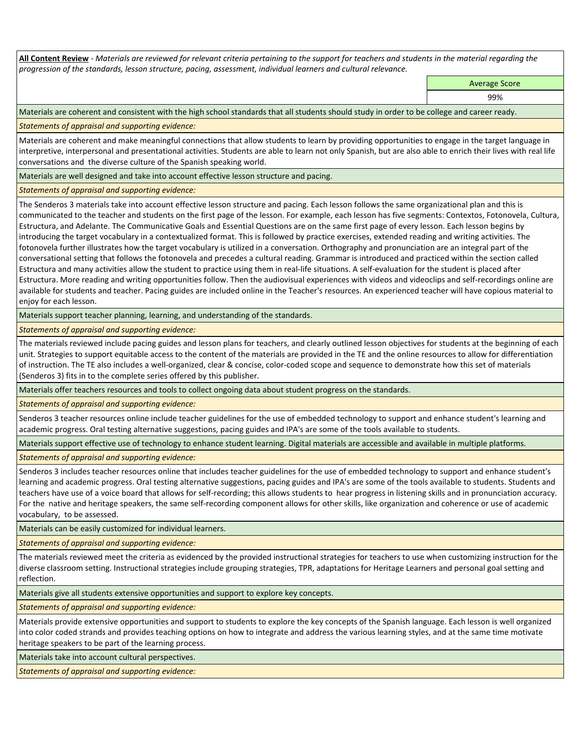**All Content Review** *- Materials are reviewed for relevant criteria pertaining to the support for teachers and students in the material regarding the progression of the standards, lesson structure, pacing, assessment, individual learners and cultural relevance.*

Average Score

99%

Materials are coherent and consistent with the high school standards that all students should study in order to be college and career ready.

*Statements of appraisal and supporting evidence:*

Materials are coherent and make meaningful connections that allow students to learn by providing opportunities to engage in the target language in interpretive, interpersonal and presentational activities. Students are able to learn not only Spanish, but are also able to enrich their lives with real life conversations and the diverse culture of the Spanish speaking world.

Materials are well designed and take into account effective lesson structure and pacing.

*Statements of appraisal and supporting evidence:*

The Senderos 3 materials take into account effective lesson structure and pacing. Each lesson follows the same organizational plan and this is communicated to the teacher and students on the first page of the lesson. For example, each lesson has five segments: Contextos, Fotonovela, Cultura, Estructura, and Adelante. The Communicative Goals and Essential Questions are on the same first page of every lesson. Each lesson begins by introducing the target vocabulary in a contextualized format. This is followed by practice exercises, extended reading and writing activities. The fotonovela further illustrates how the target vocabulary is utilized in a conversation. Orthography and pronunciation are an integral part of the conversational setting that follows the fotonovela and precedes a cultural reading. Grammar is introduced and practiced within the section called Estructura and many activities allow the student to practice using them in real-life situations. A self-evaluation for the student is placed after Estructura. More reading and writing opportunities follow. Then the audiovisual experiences with videos and videoclips and self-recordings online are available for students and teacher. Pacing guides are included online in the Teacher's resources. An experienced teacher will have copious material to enjoy for each lesson.

Materials support teacher planning, learning, and understanding of the standards.

*Statements of appraisal and supporting evidence:*

The materials reviewed include pacing guides and lesson plans for teachers, and clearly outlined lesson objectives for students at the beginning of each unit. Strategies to support equitable access to the content of the materials are provided in the TE and the online resources to allow for differentiation of instruction. The TE also includes a well-organized, clear & concise, color-coded scope and sequence to demonstrate how this set of materials (Senderos 3) fits in to the complete series offered by this publisher.

Materials offer teachers resources and tools to collect ongoing data about student progress on the standards.

*Statements of appraisal and supporting evidence:*

Senderos 3 teacher resources online include teacher guidelines for the use of embedded technology to support and enhance student's learning and academic progress. Oral testing alternative suggestions, pacing guides and IPA's are some of the tools available to students.

Materials support effective use of technology to enhance student learning. Digital materials are accessible and available in multiple platforms.

*Statements of appraisal and supporting evidence:*

Senderos 3 includes teacher resources online that includes teacher guidelines for the use of embedded technology to support and enhance student's learning and academic progress. Oral testing alternative suggestions, pacing guides and IPA's are some of the tools available to students. Students and teachers have use of a voice board that allows for self-recording; this allows students to hear progress in listening skills and in pronunciation accuracy. For the native and heritage speakers, the same self-recording component allows for other skills, like organization and coherence or use of academic vocabulary, to be assessed.

Materials can be easily customized for individual learners.

*Statements of appraisal and supporting evidence:* 

The materials reviewed meet the criteria as evidenced by the provided instructional strategies for teachers to use when customizing instruction for the diverse classroom setting. Instructional strategies include grouping strategies, TPR, adaptations for Heritage Learners and personal goal setting and reflection.

Materials give all students extensive opportunities and support to explore key concepts.

*Statements of appraisal and supporting evidence:*

Materials provide extensive opportunities and support to students to explore the key concepts of the Spanish language. Each lesson is well organized into color coded strands and provides teaching options on how to integrate and address the various learning styles, and at the same time motivate heritage speakers to be part of the learning process.

Materials take into account cultural perspectives.

*Statements of appraisal and supporting evidence:*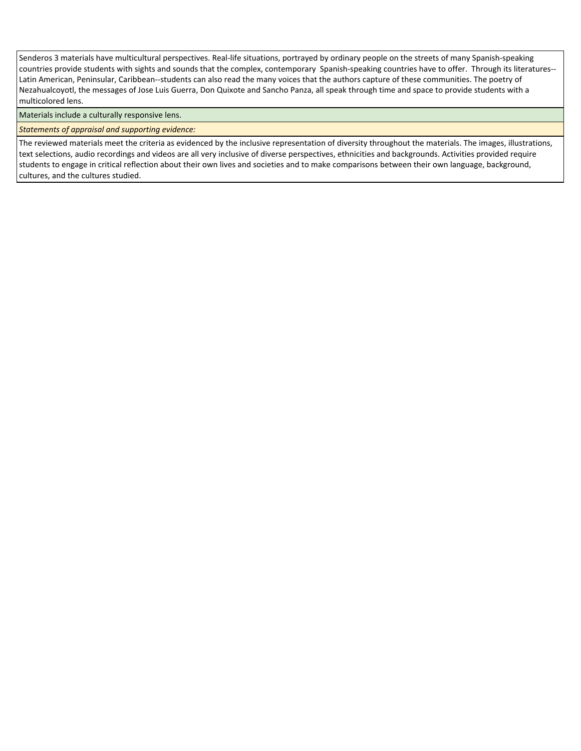Senderos 3 materials have multicultural perspectives. Real-life situations, portrayed by ordinary people on the streets of many Spanish-speaking countries provide students with sights and sounds that the complex, contemporary Spanish-speaking countries have to offer. Through its literatures-- Latin American, Peninsular, Caribbean--students can also read the many voices that the authors capture of these communities. The poetry of Nezahualcoyotl, the messages of Jose Luis Guerra, Don Quixote and Sancho Panza, all speak through time and space to provide students with a multicolored lens.

Materials include a culturally responsive lens.

*Statements of appraisal and supporting evidence:*

The reviewed materials meet the criteria as evidenced by the inclusive representation of diversity throughout the materials. The images, illustrations, text selections, audio recordings and videos are all very inclusive of diverse perspectives, ethnicities and backgrounds. Activities provided require students to engage in critical reflection about their own lives and societies and to make comparisons between their own language, background, cultures, and the cultures studied.